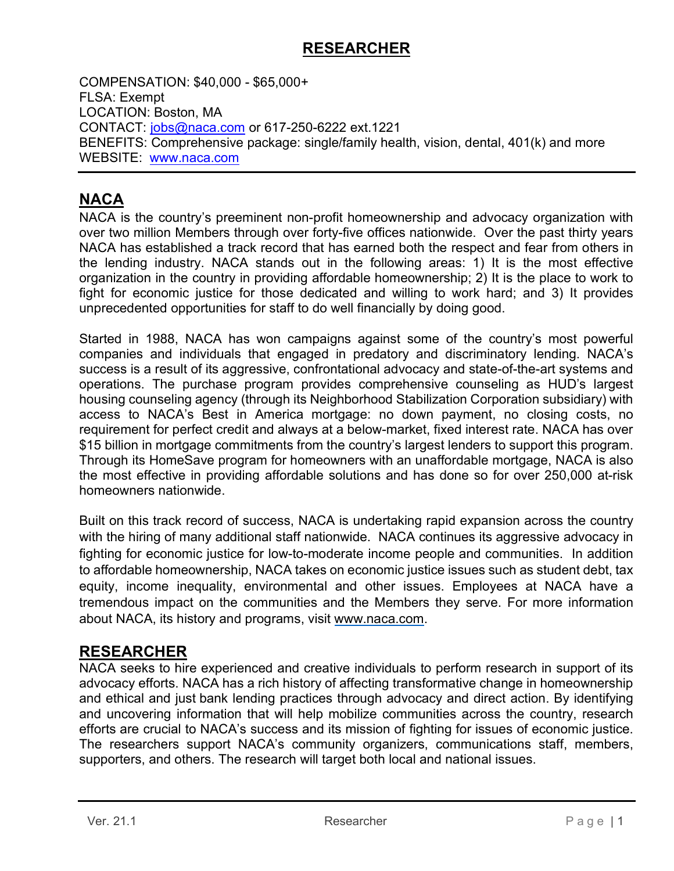## RESEARCHER

COMPENSATION: \$40,000 - \$65,000+ FLSA: Exempt LOCATION: Boston, MA CONTACT: jobs@naca.com or 617-250-6222 ext.1221 BENEFITS: Comprehensive package: single/family health, vision, dental, 401(k) and more WEBSITE: www.naca.com

## **NACA**

NACA is the country's preeminent non-profit homeownership and advocacy organization with over two million Members through over forty-five offices nationwide. Over the past thirty years NACA has established a track record that has earned both the respect and fear from others in the lending industry. NACA stands out in the following areas: 1) It is the most effective organization in the country in providing affordable homeownership; 2) It is the place to work to fight for economic justice for those dedicated and willing to work hard; and 3) It provides unprecedented opportunities for staff to do well financially by doing good.

Started in 1988, NACA has won campaigns against some of the country's most powerful companies and individuals that engaged in predatory and discriminatory lending. NACA's success is a result of its aggressive, confrontational advocacy and state-of-the-art systems and operations. The purchase program provides comprehensive counseling as HUD's largest housing counseling agency (through its Neighborhood Stabilization Corporation subsidiary) with access to NACA's Best in America mortgage: no down payment, no closing costs, no requirement for perfect credit and always at a below-market, fixed interest rate. NACA has over \$15 billion in mortgage commitments from the country's largest lenders to support this program. Through its HomeSave program for homeowners with an unaffordable mortgage, NACA is also the most effective in providing affordable solutions and has done so for over 250,000 at-risk homeowners nationwide.

Built on this track record of success, NACA is undertaking rapid expansion across the country with the hiring of many additional staff nationwide. NACA continues its aggressive advocacy in fighting for economic justice for low-to-moderate income people and communities. In addition to affordable homeownership, NACA takes on economic justice issues such as student debt, tax equity, income inequality, environmental and other issues. Employees at NACA have a tremendous impact on the communities and the Members they serve. For more information about NACA, its history and programs, visit www.naca.com.

#### RESEARCHER

NACA seeks to hire experienced and creative individuals to perform research in support of its advocacy efforts. NACA has a rich history of affecting transformative change in homeownership and ethical and just bank lending practices through advocacy and direct action. By identifying and uncovering information that will help mobilize communities across the country, research efforts are crucial to NACA's success and its mission of fighting for issues of economic justice. The researchers support NACA's community organizers, communications staff, members, supporters, and others. The research will target both local and national issues.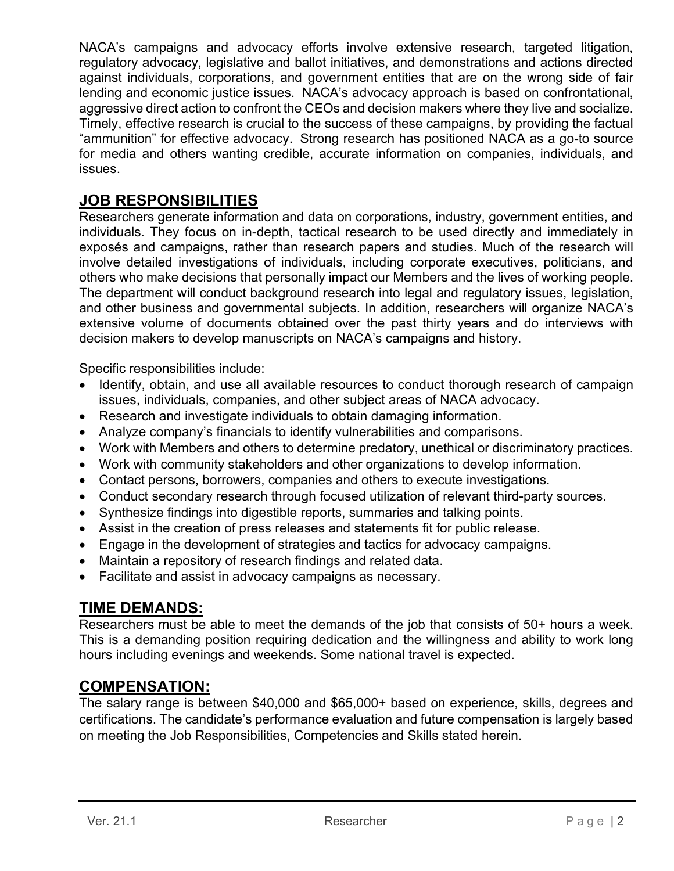NACA's campaigns and advocacy efforts involve extensive research, targeted litigation, regulatory advocacy, legislative and ballot initiatives, and demonstrations and actions directed against individuals, corporations, and government entities that are on the wrong side of fair lending and economic justice issues. NACA's advocacy approach is based on confrontational, aggressive direct action to confront the CEOs and decision makers where they live and socialize. Timely, effective research is crucial to the success of these campaigns, by providing the factual "ammunition" for effective advocacy. Strong research has positioned NACA as a go-to source for media and others wanting credible, accurate information on companies, individuals, and issues.

## JOB RESPONSIBILITIES

Researchers generate information and data on corporations, industry, government entities, and individuals. They focus on in-depth, tactical research to be used directly and immediately in exposés and campaigns, rather than research papers and studies. Much of the research will involve detailed investigations of individuals, including corporate executives, politicians, and others who make decisions that personally impact our Members and the lives of working people. The department will conduct background research into legal and regulatory issues, legislation, and other business and governmental subjects. In addition, researchers will organize NACA's extensive volume of documents obtained over the past thirty years and do interviews with decision makers to develop manuscripts on NACA's campaigns and history.

Specific responsibilities include:

- Identify, obtain, and use all available resources to conduct thorough research of campaign issues, individuals, companies, and other subject areas of NACA advocacy.
- Research and investigate individuals to obtain damaging information.
- Analyze company's financials to identify vulnerabilities and comparisons.
- Work with Members and others to determine predatory, unethical or discriminatory practices.
- Work with community stakeholders and other organizations to develop information.
- Contact persons, borrowers, companies and others to execute investigations.
- Conduct secondary research through focused utilization of relevant third-party sources.
- Synthesize findings into digestible reports, summaries and talking points.
- Assist in the creation of press releases and statements fit for public release.
- Engage in the development of strategies and tactics for advocacy campaigns.
- Maintain a repository of research findings and related data.
- Facilitate and assist in advocacy campaigns as necessary.

### TIME DEMANDS:

Researchers must be able to meet the demands of the job that consists of 50+ hours a week. This is a demanding position requiring dedication and the willingness and ability to work long hours including evenings and weekends. Some national travel is expected.

#### COMPENSATION:

The salary range is between \$40,000 and \$65,000+ based on experience, skills, degrees and certifications. The candidate's performance evaluation and future compensation is largely based on meeting the Job Responsibilities, Competencies and Skills stated herein.